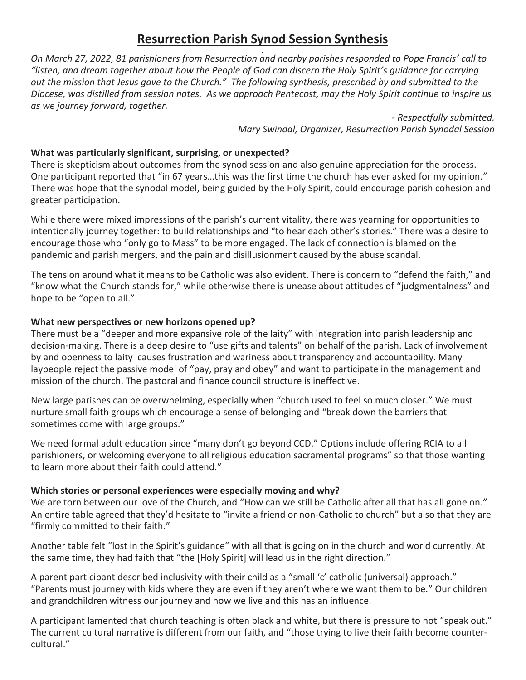# **Resurrection Parish Synod Session Synthesis**

*On March 27, 2022, 81 parishioners from Resurrection and nearby parishes responded to Pope Francis' call to "listen, and dream together about how the People of God can discern the Holy Spirit's guidance for carrying out the mission that Jesus gave to the Church." The following synthesis, prescribed by and submitted to the Diocese, was distilled from session notes. As we approach Pentecost, may the Holy Spirit continue to inspire us as we journey forward, together.* 

> *- Respectfully submitted, Mary Swindal, Organizer, Resurrection Parish Synodal Session*

### **What was particularly significant, surprising, or unexpected?**

There is skepticism about outcomes from the synod session and also genuine appreciation for the process. One participant reported that "in 67 years…this was the first time the church has ever asked for my opinion." There was hope that the synodal model, being guided by the Holy Spirit, could encourage parish cohesion and greater participation.

While there were mixed impressions of the parish's current vitality, there was yearning for opportunities to intentionally journey together: to build relationships and "to hear each other's stories." There was a desire to encourage those who "only go to Mass" to be more engaged. The lack of connection is blamed on the pandemic and parish mergers, and the pain and disillusionment caused by the abuse scandal.

The tension around what it means to be Catholic was also evident. There is concern to "defend the faith," and "know what the Church stands for," while otherwise there is unease about attitudes of "judgmentalness" and hope to be "open to all."

#### **What new perspectives or new horizons opened up?**

There must be a "deeper and more expansive role of the laity" with integration into parish leadership and decision-making. There is a deep desire to "use gifts and talents" on behalf of the parish. Lack of involvement by and openness to laity causes frustration and wariness about transparency and accountability. Many laypeople reject the passive model of "pay, pray and obey" and want to participate in the management and mission of the church. The pastoral and finance council structure is ineffective.

New large parishes can be overwhelming, especially when "church used to feel so much closer." We must nurture small faith groups which encourage a sense of belonging and "break down the barriers that sometimes come with large groups."

We need formal adult education since "many don't go beyond CCD." Options include offering RCIA to all parishioners, or welcoming everyone to all religious education sacramental programs" so that those wanting to learn more about their faith could attend."

### **Which stories or personal experiences were especially moving and why?**

We are torn between our love of the Church, and "How can we still be Catholic after all that has all gone on." An entire table agreed that they'd hesitate to "invite a friend or non-Catholic to church" but also that they are "firmly committed to their faith."

Another table felt "lost in the Spirit's guidance" with all that is going on in the church and world currently. At the same time, they had faith that "the [Holy Spirit] will lead us in the right direction."

A parent participant described inclusivity with their child as a "small 'c' catholic (universal) approach." "Parents must journey with kids where they are even if they aren't where we want them to be." Our children and grandchildren witness our journey and how we live and this has an influence.

A participant lamented that church teaching is often black and white, but there is pressure to not "speak out." The current cultural narrative is different from our faith, and "those trying to live their faith become countercultural."